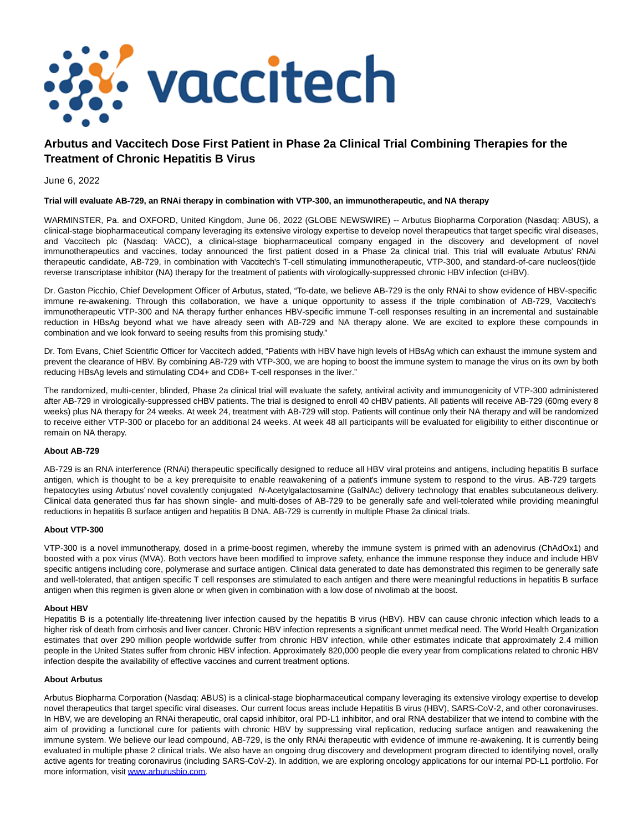

# **Arbutus and Vaccitech Dose First Patient in Phase 2a Clinical Trial Combining Therapies for the Treatment of Chronic Hepatitis B Virus**

June 6, 2022

## **Trial will evaluate AB-729, an RNAi therapy in combination with VTP-300, an immunotherapeutic, and NA therapy**

WARMINSTER, Pa. and OXFORD, United Kingdom, June 06, 2022 (GLOBE NEWSWIRE) -- Arbutus Biopharma Corporation (Nasdaq: ABUS), a clinical-stage biopharmaceutical company leveraging its extensive virology expertise to develop novel therapeutics that target specific viral diseases, and Vaccitech plc (Nasdaq: VACC), a clinical-stage biopharmaceutical company engaged in the discovery and development of novel immunotherapeutics and vaccines, today announced the first patient dosed in a Phase 2a clinical trial. This trial will evaluate Arbutus' RNAi therapeutic candidate, AB-729, in combination with Vaccitech's T-cell stimulating immunotherapeutic, VTP-300, and standard-of-care nucleos(t)ide reverse transcriptase inhibitor (NA) therapy for the treatment of patients with virologically-suppressed chronic HBV infection (cHBV).

Dr. Gaston Picchio, Chief Development Officer of Arbutus, stated, "To-date, we believe AB-729 is the only RNAi to show evidence of HBV-specific immune re-awakening. Through this collaboration, we have a unique opportunity to assess if the triple combination of AB-729, Vaccitech's immunotherapeutic VTP-300 and NA therapy further enhances HBV-specific immune T-cell responses resulting in an incremental and sustainable reduction in HBsAg beyond what we have already seen with AB-729 and NA therapy alone. We are excited to explore these compounds in combination and we look forward to seeing results from this promising study."

Dr. Tom Evans, Chief Scientific Officer for Vaccitech added, "Patients with HBV have high levels of HBsAg which can exhaust the immune system and prevent the clearance of HBV. By combining AB-729 with VTP-300, we are hoping to boost the immune system to manage the virus on its own by both reducing HBsAg levels and stimulating CD4+ and CD8+ T-cell responses in the liver."

The randomized, multi-center, blinded, Phase 2a clinical trial will evaluate the safety, antiviral activity and immunogenicity of VTP-300 administered after AB-729 in virologically-suppressed cHBV patients. The trial is designed to enroll 40 cHBV patients. All patients will receive AB-729 (60mg every 8 weeks) plus NA therapy for 24 weeks. At week 24, treatment with AB-729 will stop. Patients will continue only their NA therapy and will be randomized to receive either VTP-300 or placebo for an additional 24 weeks. At week 48 all participants will be evaluated for eligibility to either discontinue or remain on NA therapy.

## **About AB-729**

AB-729 is an RNA interference (RNAi) therapeutic specifically designed to reduce all HBV viral proteins and antigens, including hepatitis B surface antigen, which is thought to be a key prerequisite to enable reawakening of a patient's immune system to respond to the virus. AB-729 targets hepatocytes using Arbutus' novel covalently conjugated N-Acetylgalactosamine (GalNAc) delivery technology that enables subcutaneous delivery. Clinical data generated thus far has shown single- and multi-doses of AB-729 to be generally safe and well-tolerated while providing meaningful reductions in hepatitis B surface antigen and hepatitis B DNA. AB-729 is currently in multiple Phase 2a clinical trials.

## **About VTP-300**

VTP-300 is a novel immunotherapy, dosed in a prime-boost regimen, whereby the immune system is primed with an adenovirus (ChAdOx1) and boosted with a pox virus (MVA). Both vectors have been modified to improve safety, enhance the immune response they induce and include HBV specific antigens including core, polymerase and surface antigen. Clinical data generated to date has demonstrated this regimen to be generally safe and well-tolerated, that antigen specific T cell responses are stimulated to each antigen and there were meaningful reductions in hepatitis B surface antigen when this regimen is given alone or when given in combination with a low dose of nivolimab at the boost.

#### **About HBV**

Hepatitis B is a potentially life-threatening liver infection caused by the hepatitis B virus (HBV). HBV can cause chronic infection which leads to a higher risk of death from cirrhosis and liver cancer. Chronic HBV infection represents a significant unmet medical need. The World Health Organization estimates that over 290 million people worldwide suffer from chronic HBV infection, while other estimates indicate that approximately 2.4 million people in the United States suffer from chronic HBV infection. Approximately 820,000 people die every year from complications related to chronic HBV infection despite the availability of effective vaccines and current treatment options. 

#### **About Arbutus**

Arbutus Biopharma Corporation (Nasdaq: ABUS) is a clinical-stage biopharmaceutical company leveraging its extensive virology expertise to develop novel therapeutics that target specific viral diseases. Our current focus areas include Hepatitis B virus (HBV), SARS-CoV-2, and other coronaviruses. In HBV, we are developing an RNAi therapeutic, oral capsid inhibitor, oral PD-L1 inhibitor, and oral RNA destabilizer that we intend to combine with the aim of providing a functional cure for patients with chronic HBV by suppressing viral replication, reducing surface antigen and reawakening the immune system. We believe our lead compound, AB-729, is the only RNAi therapeutic with evidence of immune re-awakening. It is currently being evaluated in multiple phase 2 clinical trials. We also have an ongoing drug discovery and development program directed to identifying novel, orally active agents for treating coronavirus (including SARS-CoV-2). In addition, we are exploring oncology applications for our internal PD-L1 portfolio. For more information, visit [www.arbutusbio.com](https://www.globenewswire.com/Tracker?data=N03W6bf2ncyU11mw_1d6g1iTX2P5Q8PVn7vAFOD_kZUX7FOJtx7q086r3DinELz5w5kfsc5nqh8H8IaVyoqPx9sveC2P42iIrtO0nNkJP0A=).